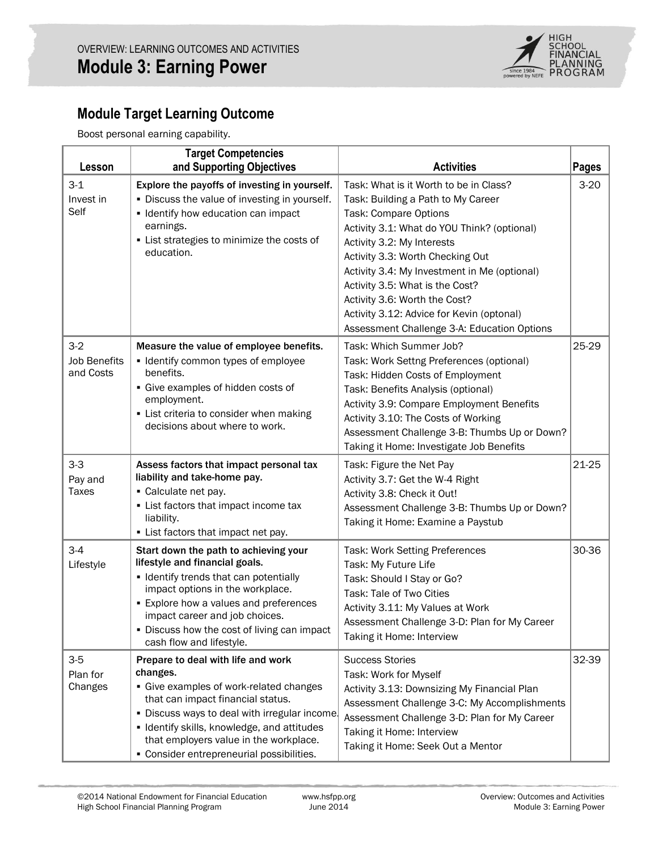

# **Module Target Learning Outcome**

Boost personal earning capability.

| Lesson                                    | <b>Target Competencies</b><br>and Supporting Objectives                                                                                                                                                                                                                                                               | <b>Activities</b>                                                                                                                                                                                                                                                                                                                                                                                                                      | <b>Pages</b> |
|-------------------------------------------|-----------------------------------------------------------------------------------------------------------------------------------------------------------------------------------------------------------------------------------------------------------------------------------------------------------------------|----------------------------------------------------------------------------------------------------------------------------------------------------------------------------------------------------------------------------------------------------------------------------------------------------------------------------------------------------------------------------------------------------------------------------------------|--------------|
| $3 - 1$<br>Invest in<br>Self              | Explore the payoffs of investing in yourself.<br>. Discuss the value of investing in yourself.<br>• Identify how education can impact<br>earnings.<br>• List strategies to minimize the costs of<br>education.                                                                                                        | Task: What is it Worth to be in Class?<br>Task: Building a Path to My Career<br>Task: Compare Options<br>Activity 3.1: What do YOU Think? (optional)<br>Activity 3.2: My Interests<br>Activity 3.3: Worth Checking Out<br>Activity 3.4: My Investment in Me (optional)<br>Activity 3.5: What is the Cost?<br>Activity 3.6: Worth the Cost?<br>Activity 3.12: Advice for Kevin (optonal)<br>Assessment Challenge 3-A: Education Options | $3-20$       |
| $3-2$<br><b>Job Benefits</b><br>and Costs | Measure the value of employee benefits.<br>• Identify common types of employee<br>benefits.<br>• Give examples of hidden costs of<br>employment.<br>• List criteria to consider when making<br>decisions about where to work.                                                                                         | Task: Which Summer Job?<br>Task: Work Settng Preferences (optional)<br>Task: Hidden Costs of Employment<br>Task: Benefits Analysis (optional)<br>Activity 3.9: Compare Employment Benefits<br>Activity 3.10: The Costs of Working<br>Assessment Challenge 3-B: Thumbs Up or Down?<br>Taking it Home: Investigate Job Benefits                                                                                                          | 25-29        |
| $3-3$<br>Pay and<br><b>Taxes</b>          | Assess factors that impact personal tax<br>liability and take-home pay.<br>• Calculate net pay.<br>• List factors that impact income tax<br>liability.<br>• List factors that impact net pay.                                                                                                                         | Task: Figure the Net Pay<br>Activity 3.7: Get the W-4 Right<br>Activity 3.8: Check it Out!<br>Assessment Challenge 3-B: Thumbs Up or Down?<br>Taking it Home: Examine a Paystub                                                                                                                                                                                                                                                        | 21-25        |
| $3 - 4$<br>Lifestyle                      | Start down the path to achieving your<br>lifestyle and financial goals.<br>· Identify trends that can potentially<br>impact options in the workplace.<br><b>Explore how a values and preferences</b><br>impact career and job choices.<br>Discuss how the cost of living can impact<br>cash flow and lifestyle.       | Task: Work Setting Preferences<br>Task: My Future Life<br>Task: Should I Stay or Go?<br>Task: Tale of Two Cities<br>Activity 3.11: My Values at Work<br>Assessment Challenge 3-D: Plan for My Career<br>Taking it Home: Interview                                                                                                                                                                                                      | 30-36        |
| $3-5$<br>Plan for<br>Changes              | Prepare to deal with life and work<br>changes.<br>· Give examples of work-related changes<br>that can impact financial status.<br>. Discuss ways to deal with irregular income.<br>· Identify skills, knowledge, and attitudes<br>that employers value in the workplace.<br>• Consider entrepreneurial possibilities. | <b>Success Stories</b><br>Task: Work for Myself<br>Activity 3.13: Downsizing My Financial Plan<br>Assessment Challenge 3-C: My Accomplishments<br>Assessment Challenge 3-D: Plan for My Career<br>Taking it Home: Interview<br>Taking it Home: Seek Out a Mentor                                                                                                                                                                       | 32-39        |